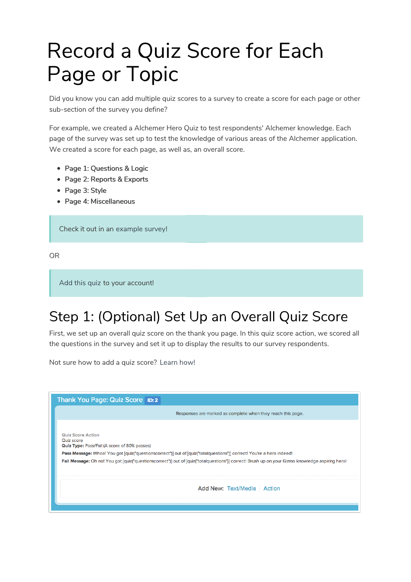## Record a Quiz Score for Each Page or Topic

Did you know you can add multiple quiz scores to a survey to create a score for each page or other sub-section of the survey you define?

For example, we created a Alchemer Hero Quiz to test respondents' Alchemer knowledge. Each page of the survey was set up to test the knowledge of various areas of the Alchemer application. We created a score for each page, as well as, an overall score.

- Page 1: Questions & Logic
- Page 2: Reports & Exports
- Page 3: Style
- Page 4: Miscellaneous

Check it out in an example survey!

OR

Add this quiz to your account!

## Step 1: (Optional) Set Up an Overall Quiz Score

First, we set up an overall quiz score on the thank you page. In this quiz score action, we scored all the questions in the survey and set it up to display the results to our survey respondents.

Not sure how to add a quiz score? Learn how!

| Thank You Page: Quiz Score ID: 2                                                              |                                                                                                                                                  |
|-----------------------------------------------------------------------------------------------|--------------------------------------------------------------------------------------------------------------------------------------------------|
|                                                                                               | Responses are marked as complete when they reach this page.                                                                                      |
| <b>Quiz Score Action</b><br>Quiz score<br><b>Quiz Type: Pass/Fail (A score of 80% passes)</b> |                                                                                                                                                  |
|                                                                                               | Pass Message: Whoa! You got [quiz("questionscorrect")] out of [quiz("totalquestions")] correct! You're a hero indeed!                            |
|                                                                                               | Fail Message: Oh no! You got [quiz("questionscorrect")] out of [quiz("totalquestions")] correct! Brush up on your Gizmo knowledge aspiring hero! |
|                                                                                               |                                                                                                                                                  |
|                                                                                               | Add New: Text/Media   Action                                                                                                                     |
|                                                                                               |                                                                                                                                                  |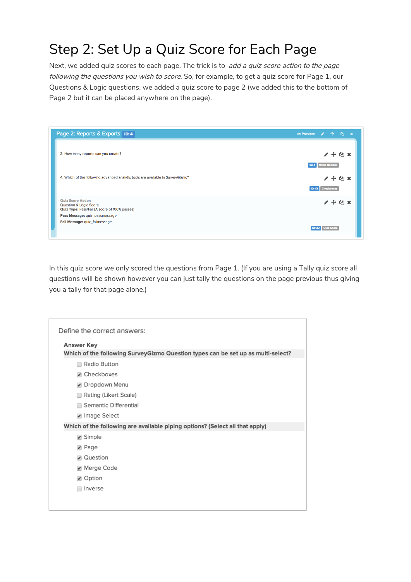## Step 2: Set Up a Quiz Score for Each Page

Next, we added quiz scores to each page. The trick is to add a quiz score action to the page following the questions you wish to score. So, for example, to get a quiz score for Page 1, our Questions & Logic questions, we added a quiz score to page 2 (we added this to the bottom of Page 2 but it can be placed anywhere on the page).

| Page 2: Reports & Exports <b>ID: 4</b>                                                                         | $\circ$ Preview $\circ$ + $\circ$ x |                   |                  |              |  |
|----------------------------------------------------------------------------------------------------------------|-------------------------------------|-------------------|------------------|--------------|--|
| 3. How many reports can you create?                                                                            | <b>ID: 4</b> Radio Buttons          |                   |                  | ෙ ඇ          |  |
| 4. Which of the following advanced analytic tools are available in SurveyGizmo?                                | <b>ID: 13</b>                       | <b>Checkboxes</b> |                  | $4$ $\times$ |  |
| <b>Quiz Score Action</b><br><b>Question &amp; Logic Score</b><br>Quiz Type: Pass/Fail (A score of 100% passes) |                                     |                   |                  | ረጣ           |  |
| Pass Message: quiz_passmessage                                                                                 |                                     |                   |                  |              |  |
| Fail Message: quiz_failmessage                                                                                 |                                     |                   |                  |              |  |
|                                                                                                                | ID: 22                              |                   | <b>Cuiz Scon</b> |              |  |

In this quiz score we only scored the questions from Page 1. (If you are using a Tally quiz score all questions will be shown however you can just tally the questions on the page previous thus giving you a tally for that page alone.)

| Answer Key                                                                       |
|----------------------------------------------------------------------------------|
| Which of the following SurveyGizmo Question types can be set up as multi-select? |
| Radio Button<br>□                                                                |
| Checkboxes                                                                       |
| ● Dropdown Menu                                                                  |
| Rating (Likert Scale)<br>∩                                                       |
| Semantic Differential                                                            |
| √ Image Select                                                                   |
| Which of the following are available piping options? (Select all that apply)     |
| ✔ Simple                                                                         |
| ✔ Page                                                                           |
| √ Question                                                                       |
| Merge Code                                                                       |
| ✔ Option                                                                         |
| Inverse                                                                          |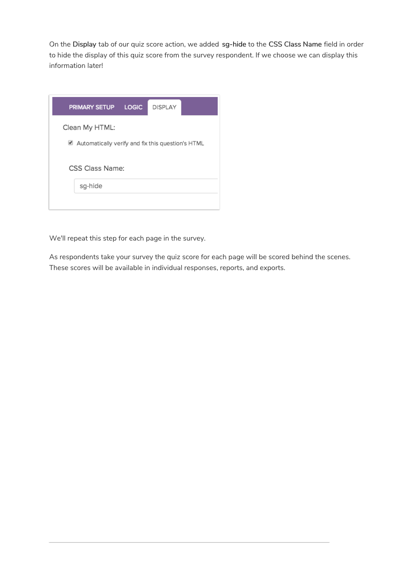On the Display tab of our quiz score action, we added sg-hide to the CSS Class Name field in order to hide the display of this quiz score from the survey respondent. If we choose we can display this information later!

| <b>PRIMARY SETUP</b>                                                | <b>LOGIC</b> | <b>DISPLAY</b> |  |
|---------------------------------------------------------------------|--------------|----------------|--|
| Clean My HTML:<br>Automatically verify and fix this question's HTML |              |                |  |
| CSS Class Name:                                                     |              |                |  |
| sg-hide                                                             |              |                |  |

We'll repeat this step for each page in the survey.

As respondents take your survey the quiz score for each page will be scored behind the scenes. These scores will be available in individual responses, reports, and exports.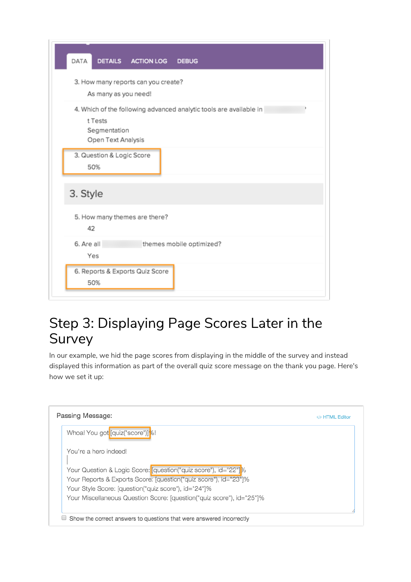| DATA<br>DETAILS ACTION LOG<br><b>DEBUG</b>                                                                          |
|---------------------------------------------------------------------------------------------------------------------|
| 3. How many reports can you create?<br>As many as you need!                                                         |
| 4. Which of the following advanced analytic tools are available in<br>t Tests<br>Segmentation<br>Open Text Analysis |
| 3. Question & Logic Score<br>50%                                                                                    |
| 3. Style                                                                                                            |
| 5. How many themes are there?<br>42                                                                                 |
| 6. Are all<br>themes mobile optimized?<br>Yes                                                                       |
| 6. Reports & Exports Quiz Score<br>50%                                                                              |

## Step 3: Displaying Page Scores Later in the Survey

In our example, we hid the page scores from displaying in the middle of the survey and instead displayed this information as part of the overall quiz score message on the thank you page. Here's how we set it up:

| Whoa! You got [quiz("score")]%!<br>You're a hero indeed!<br>Your Question & Logic Score: [question("quiz score"), id="22"]%<br>Your Reports & Exports Score: [question("quiz score"), id="23"]%<br>Your Style Score: [question("quiz score"), id="24"]% | Passing Message:                                                      | HTML Editor |  |  |
|---------------------------------------------------------------------------------------------------------------------------------------------------------------------------------------------------------------------------------------------------------|-----------------------------------------------------------------------|-------------|--|--|
|                                                                                                                                                                                                                                                         |                                                                       |             |  |  |
|                                                                                                                                                                                                                                                         |                                                                       |             |  |  |
|                                                                                                                                                                                                                                                         |                                                                       |             |  |  |
|                                                                                                                                                                                                                                                         |                                                                       |             |  |  |
|                                                                                                                                                                                                                                                         |                                                                       |             |  |  |
|                                                                                                                                                                                                                                                         | Your Miscellaneous Question Score: [question("quiz score"), id="25"]% |             |  |  |